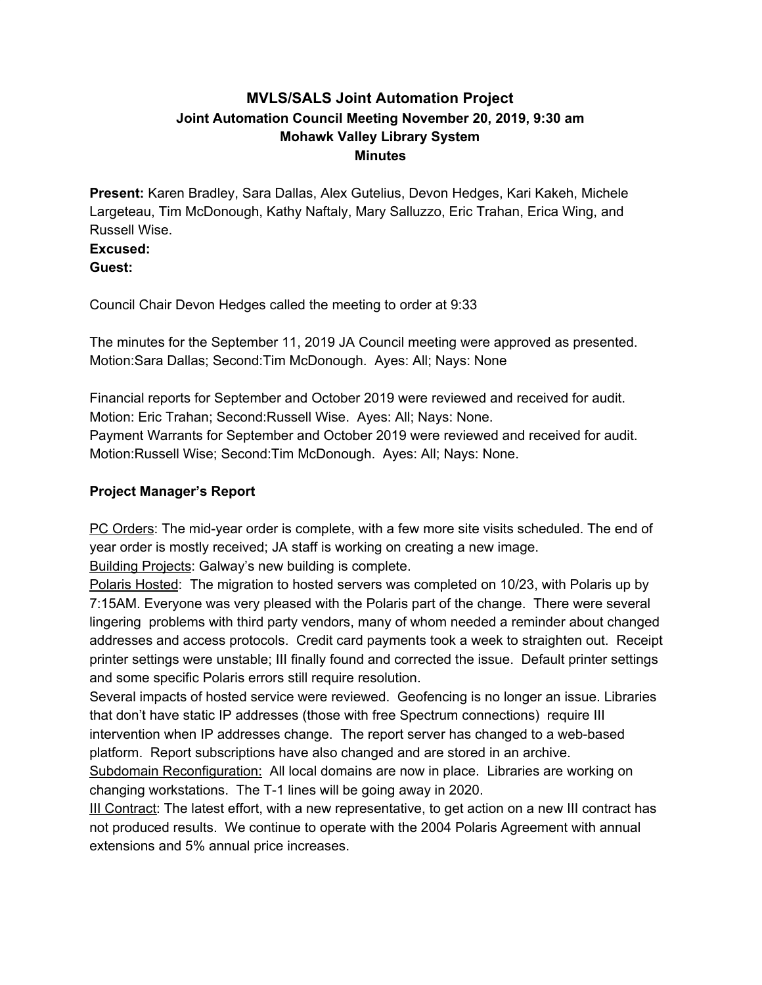## **MVLS/SALS Joint Automation Project Joint Automation Council Meeting November 20, 2019, 9:30 am Mohawk Valley Library System Minutes**

**Present:** Karen Bradley, Sara Dallas, Alex Gutelius, Devon Hedges, Kari Kakeh, Michele Largeteau, Tim McDonough, Kathy Naftaly, Mary Salluzzo, Eric Trahan, Erica Wing, and Russell Wise.

**Excused: Guest:**

Council Chair Devon Hedges called the meeting to order at 9:33

The minutes for the September 11, 2019 JA Council meeting were approved as presented. Motion:Sara Dallas; Second:Tim McDonough. Ayes: All; Nays: None

Financial reports for September and October 2019 were reviewed and received for audit. Motion: Eric Trahan; Second:Russell Wise. Ayes: All; Nays: None. Payment Warrants for September and October 2019 were reviewed and received for audit. Motion:Russell Wise; Second:Tim McDonough. Ayes: All; Nays: None.

## **Project Manager's Report**

PC Orders: The mid-year order is complete, with a few more site visits scheduled. The end of year order is mostly received; JA staff is working on creating a new image.

Building Projects: Galway's new building is complete.

Polaris Hosted: The migration to hosted servers was completed on 10/23, with Polaris up by 7:15AM. Everyone was very pleased with the Polaris part of the change. There were several lingering problems with third party vendors, many of whom needed a reminder about changed addresses and access protocols. Credit card payments took a week to straighten out. Receipt printer settings were unstable; III finally found and corrected the issue. Default printer settings and some specific Polaris errors still require resolution.

Several impacts of hosted service were reviewed. Geofencing is no longer an issue. Libraries that don't have static IP addresses (those with free Spectrum connections) require III intervention when IP addresses change. The report server has changed to a web-based platform. Report subscriptions have also changed and are stored in an archive.

Subdomain Reconfiguration: All local domains are now in place. Libraries are working on changing workstations. The T-1 lines will be going away in 2020.

III Contract: The latest effort, with a new representative, to get action on a new III contract has not produced results. We continue to operate with the 2004 Polaris Agreement with annual extensions and 5% annual price increases.